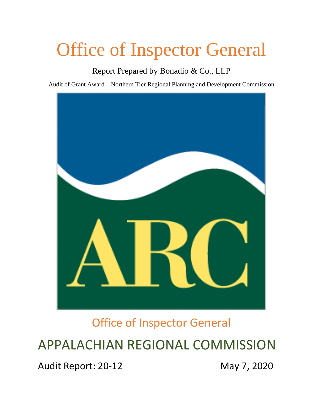# Office of Inspector General

Report Prepared by Bonadio & Co., LLP

Audit of Grant Award – Northern Tier Regional Planning and Development Commission



Office of Inspector General

# APPALACHIAN REGIONAL COMMISSION

Audit Report: 20-12 May 7, 2020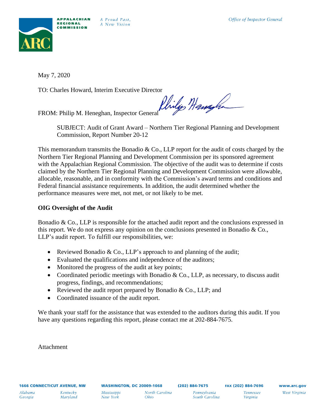

May 7, 2020

TO: Charles Howard, Interim Executive Director

FROM: Philip M. Heneghan, Inspector General Philips Hangton

SUBJECT: Audit of Grant Award – Northern Tier Regional Planning and Development Commission, Report Number 20-12

This memorandum transmits the Bonadio  $\&$  Co., LLP report for the audit of costs charged by the Northern Tier Regional Planning and Development Commission per its sponsored agreement with the Appalachian Regional Commission. The objective of the audit was to determine if costs claimed by the Northern Tier Regional Planning and Development Commission were allowable, allocable, reasonable, and in conformity with the Commission's award terms and conditions and Federal financial assistance requirements. In addition, the audit determined whether the performance measures were met, not met, or not likely to be met.

## **OIG Oversight of the Audit**

Bonadio  $\&$  Co., LLP is responsible for the attached audit report and the conclusions expressed in this report. We do not express any opinion on the conclusions presented in Bonadio & Co., LLP's audit report. To fulfill our responsibilities, we:

- Reviewed Bonadio & Co., LLP's approach to and planning of the audit;
- Evaluated the qualifications and independence of the auditors;
- Monitored the progress of the audit at key points;
- Coordinated periodic meetings with Bonadio  $\&$  Co., LLP, as necessary, to discuss audit progress, findings, and recommendations;
- Reviewed the audit report prepared by Bonadio  $\&$  Co., LLP; and
- Coordinated issuance of the audit report.

We thank your staff for the assistance that was extended to the auditors during this audit. If you have any questions regarding this report, please contact me at 202-884-7675.

Attachment

*Virginia*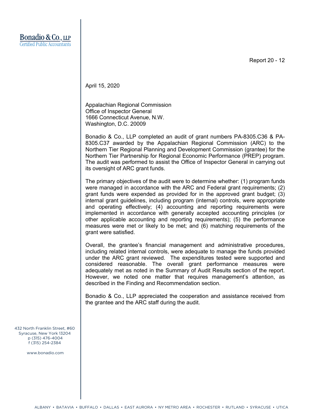Report 20 - 12

April 15, 2020

Appalachian Regional Commission Office of Inspector General 1666 Connecticut Avenue, N.W. Washington, D.C. 20009

Bonadio & Co., LLP completed an audit of grant numbers PA-8305.C36 & PA-8305.C37 awarded by the Appalachian Regional Commission (ARC) to the Northern Tier Regional Planning and Development Commission (grantee) for the Northern Tier Partnership for Regional Economic Performance (PREP) program. The audit was performed to assist the Office of Inspector General in carrying out its oversight of ARC grant funds.

The primary objectives of the audit were to determine whether: (1) program funds were managed in accordance with the ARC and Federal grant requirements; (2) grant funds were expended as provided for in the approved grant budget; (3) internal grant guidelines, including program (internal) controls, were appropriate and operating effectively; (4) accounting and reporting requirements were implemented in accordance with generally accepted accounting principles (or other applicable accounting and reporting requirements); (5) the performance measures were met or likely to be met; and (6) matching requirements of the grant were satisfied.

Overall, the grantee's financial management and administrative procedures, including related internal controls, were adequate to manage the funds provided under the ARC grant reviewed. The expenditures tested were supported and considered reasonable. The overall grant performance measures were adequately met as noted in the Summary of Audit Results section of the report. However, we noted one matter that requires management's attention, as described in the Finding and Recommendation section.

Bonadio & Co., LLP appreciated the cooperation and assistance received from the grantee and the ARC staff during the audit.

432 North Franklin Street, #60 Syracuse, New York 13204 p (315) 476-4004 f (315) 254-2384

www.bonadio.com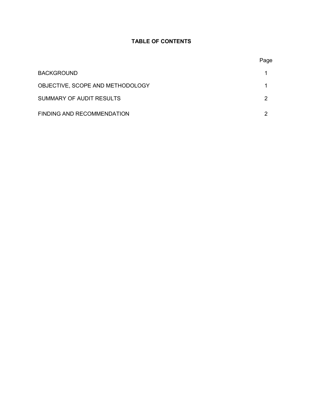### **TABLE OF CONTENTS**

|                                   | Page |
|-----------------------------------|------|
| <b>BACKGROUND</b>                 |      |
| OBJECTIVE, SCOPE AND METHODOLOGY  |      |
| SUMMARY OF AUDIT RESULTS          | 2    |
| <b>FINDING AND RECOMMENDATION</b> | 2    |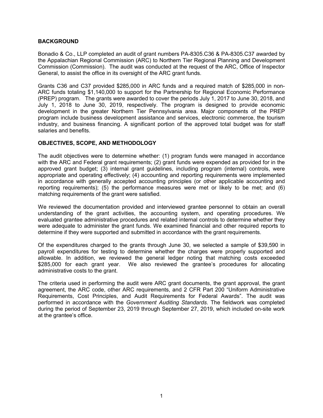#### **BACKGROUND**

Bonadio & Co., LLP completed an audit of grant numbers PA-8305.C36 & PA-8305.C37 awarded by the Appalachian Regional Commission (ARC) to Northern Tier Regional Planning and Development Commission (Commission). The audit was conducted at the request of the ARC, Office of Inspector General, to assist the office in its oversight of the ARC grant funds.

Grants C36 and C37 provided \$285,000 in ARC funds and a required match of \$285,000 in non-ARC funds totaling \$1,140,000 to support for the Partnership for Regional Economic Performance (PREP) program. The grants were awarded to cover the periods July 1, 2017 to June 30, 2018, and July 1, 2018 to June 30, 2019, respectively. The program is designed to provide economic development in the greater Northern Tier Pennsylvania area. Major components of the PREP program include business development assistance and services, electronic commerce, the tourism industry, and business financing. A significant portion of the approved total budget was for staff salaries and benefits.

#### **OBJECTIVES, SCOPE, AND METHODOLOGY**

The audit objectives were to determine whether: (1) program funds were managed in accordance with the ARC and Federal grant requirements; (2) grant funds were expended as provided for in the approved grant budget; (3) internal grant guidelines, including program (internal) controls, were appropriate and operating effectively; (4) accounting and reporting requirements were implemented in accordance with generally accepted accounting principles (or other applicable accounting and reporting requirements); (5) the performance measures were met or likely to be met; and (6) matching requirements of the grant were satisfied.

We reviewed the documentation provided and interviewed grantee personnel to obtain an overall understanding of the grant activities, the accounting system, and operating procedures. We evaluated grantee administrative procedures and related internal controls to determine whether they were adequate to administer the grant funds. We examined financial and other required reports to determine if they were supported and submitted in accordance with the grant requirements.

Of the expenditures charged to the grants through June 30, we selected a sample of \$39,590 in payroll expenditures for testing to determine whether the charges were properly supported and allowable. In addition, we reviewed the general ledger noting that matching costs exceeded \$285,000 for each grant year. We also reviewed the grantee's procedures for allocating administrative costs to the grant.

The criteria used in performing the audit were ARC grant documents, the grant approval, the grant agreement, the ARC code, other ARC requirements, and 2 CFR Part 200 "Uniform Administrative Requirements, Cost Principles, and Audit Requirements for Federal Awards". The audit was performed in accordance with the *Government Auditing Standards*. The fieldwork was completed during the period of September 23, 2019 through September 27, 2019, which included on-site work at the grantee's office.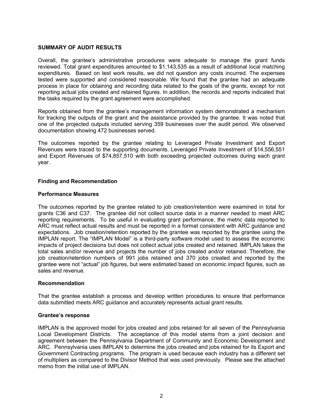#### **SUMMARY OF AUDIT RESULTS**

Overall, the grantee's administrative procedures were adequate to manage the grant funds reviewed. Total grant expenditures amounted to \$1,143,535 as a result of additional local matching expenditures. Based on test work results, we did not question any costs incurred. The expenses tested were supported and considered reasonable. We found that the grantee had an adequate process in place for obtaining and recording data related to the goals of the grants, except for not reporting actual jobs created and retained figures. In addition, the records and reports indicated that the tasks required by the grant agreement were accomplished.

Reports obtained from the grantee's management information system demonstrated a mechanism for tracking the outputs of the grant and the assistance provided by the grantee. It was noted that one of the projected outputs included serving 359 businesses over the audit period. We observed documentation showing 472 businesses served.

The outcomes reported by the grantee relating to Leveraged Private Investment and Export Revenues were traced to the supporting documents. Leveraged Private Investment of \$14,556,551 and Export Revenues of \$74,857,510 with both exceeding projected outcomes during each grant year.

#### **Finding and Recommendation**

#### **Performance Measures**

The outcomes reported by the grantee related to job creation/retention were examined in total for grants C36 and C37. The grantee did not collect source data in a manner needed to meet ARC reporting requirements. To be useful in evaluating grant performance, the metric data reported to ARC must reflect actual results and must be reported in a format consistent with ARC guidance and expectations. Job creation/retention reported by the grantee was reported by the grantee using the IMPLAN report. The "IMPLAN Model" is a third-party software model used to assess the economic impacts of project decisions but does not collect actual jobs created and retained. IMPLAN takes the total sales and/or revenue and projects the number of jobs created and/or retained. Therefore, the job creation/retention numbers of 991 jobs retained and 370 jobs created and reported by the grantee were not "actual" job figures, but were estimated based on economic impact figures, such as sales and revenue.

#### **Recommendation**

That the grantee establish a process and develop written procedures to ensure that performance data submitted meets ARC guidance and accurately represents actual grant results.

#### **Grantee's response**

IMPLAN is the approved model for jobs created and jobs retained for all seven of the Pennsylvania Local Development Districts. The acceptance of this model stems from a joint decision and agreement between the Pennsylvania Department of Community and Economic Development and ARC. Pennsylvania uses IMPLAN to determine the jobs created and jobs retained for its Export and Government Contracting programs. The program is used because each industry has a different set of multipliers as compared to the Divisor Method that was used previously. Please see the attached memo from the initial use of IMPLAN.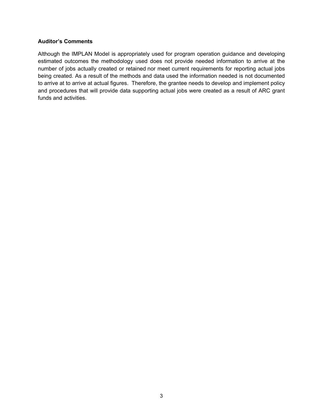#### **Auditor's Comments**

Although the IMPLAN Model is appropriately used for program operation guidance and developing estimated outcomes the methodology used does not provide needed information to arrive at the number of jobs actually created or retained nor meet current requirements for reporting actual jobs being created. As a result of the methods and data used the information needed is not documented to arrive at to arrive at actual figures. Therefore, the grantee needs to develop and implement policy and procedures that will provide data supporting actual jobs were created as a result of ARC grant funds and activities.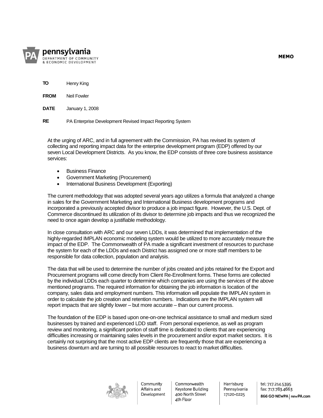

- **TO** Henry King
- **FROM** Neil Fowler
- **DATE** January 1, 2008

**RE** PA Enterprise Development Revised Impact Reporting System

At the urging of ARC, and in full agreement with the Commission, PA has revised its system of collecting and reporting impact data for the enterprise development program (EDP) offered by our seven Local Development Districts. As you know, the EDP consists of three core business assistance services:

- **•** Business Finance
- Government Marketing (Procurement)
- International Business Development (Exporting)

The current methodology that was adopted several years ago utilizes a formula that analyzed a change in sales for the Government Marketing and International Business development programs and incorporated a previously accepted divisor to produce a job impact figure. However, the U.S. Dept. of Commerce discontinued its utilization of its divisor to determine job impacts and thus we recognized the need to once again develop a justifiable methodology.

In close consultation with ARC and our seven LDDs, it was determined that implementation of the highly-regarded IMPLAN economic modeling system would be utilized to more accurately measure the impact of the EDP. The Commonwealth of PA made a significant investment of resources to purchase the system for each of the LDDs and each District has assigned one or more staff members to be responsible for data collection, population and analysis.

The data that will be used to determine the number of jobs created and jobs retained for the Export and Procurement programs will come directly from Client Re-Enrollment forms. These forms are collected by the individual LDDs each quarter to determine which companies are using the services of the above mentioned programs. The required information for obtaining the job information is location of the company, sales data and employment numbers. This information will populate the IMPLAN system in order to calculate the job creation and retention numbers. Indications are the IMPLAN system will report impacts that are slightly lower – but more accurate – than our current process.

The foundation of the EDP is based upon one-on-one technical assistance to small and medium sized businesses by trained and experienced LDD staff. From personal experience, as well as program review and monitoring, a significant portion of staff time is dedicated to clients that are experiencing difficulties increasing or maintaining sales levels in the procurement and/or export market sectors. It is certainly not surprising that the most active EDP clients are frequently those that are experiencing a business downturn and are turning to all possible resources to react to market difficulties.



Community Affairs and Development

Commonwealth Keystone Building 400 North Street 4th Floor

Harrisburg Pennsylvania 17120-0225